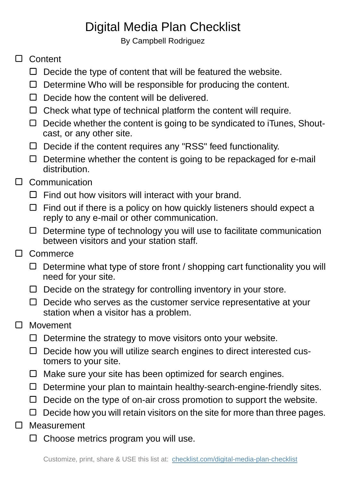## Digital Media Plan Checklist

By Campbell Rodriguez

## □ Content

- $\Box$  Decide the type of content that will be featured the website.
- $\Box$  Determine Who will be responsible for producing the content.
- $\Box$  Decide how the content will be delivered.
- $\Box$  Check what type of technical platform the content will require.
- $\Box$  Decide whether the content is going to be syndicated to iTunes, Shoutcast, or any other site.
- D Decide if the content requires any "RSS" feed functionality.
- $\Box$  Determine whether the content is going to be repackaged for e-mail distribution.

## Communication П

- $\Box$  Find out how visitors will interact with your brand.
- $\Box$  Find out if there is a policy on how quickly listeners should expect a reply to any e-mail or other communication.
- $\Box$  Determine type of technology you will use to facilitate communication between visitors and your station staff.
- $\Box$ Commerce
	- $\Box$  Determine what type of store front / shopping cart functionality you will need for your site.
	- $\Box$  Decide on the strategy for controlling inventory in your store.
	- $\Box$  Decide who serves as the customer service representative at your station when a visitor has a problem.

## $\Box$ Movement

- $\Box$  Determine the strategy to move visitors onto your website.
- $\Box$  Decide how you will utilize search engines to direct interested customers to your site.
- $\Box$  Make sure your site has been optimized for search engines.
- $\Box$  Determine your plan to maintain healthy-search-engine-friendly sites.
- $\Box$  Decide on the type of on-air cross promotion to support the website.
- $\Box$  Decide how you will retain visitors on the site for more than three pages.
- Measurement  $\Box$ 
	- $\Box$  Choose metrics program you will use.